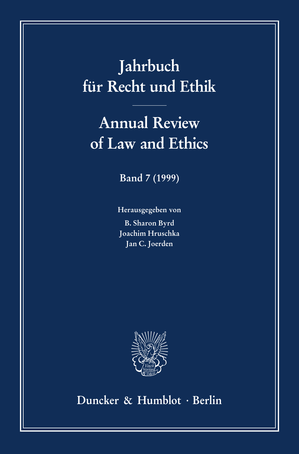# **Jahrbuch für Recht und Ethik**

# **Annual Review of Law and Ethics**

**Band 7 (1999)**

**Herausgegeben von B. Sharon Byrd Joachim Hruschka Jan C. Joerden**



**Duncker & Humblot · Berlin**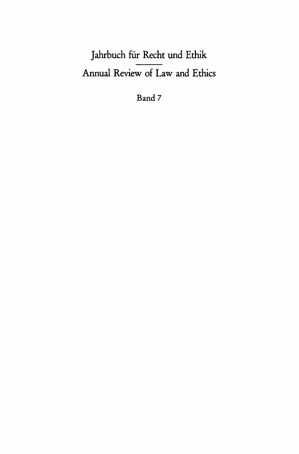## Jahrbuch für Recht und Ethik Annual Review of Law and Ethics

Band 7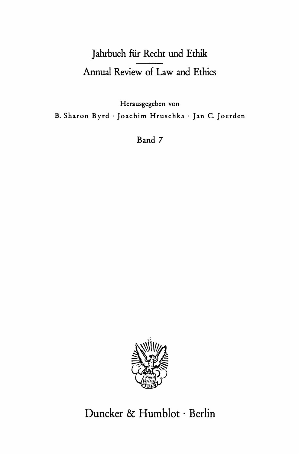## Jahrbuch für Recht und Ethik Annual Review of Law and Ethics

Herausgegeben von B. Sharon Byrd · Joachim Hruschka · Jan C. Joerden

Band 7



### Duncker & Humblot · Berlin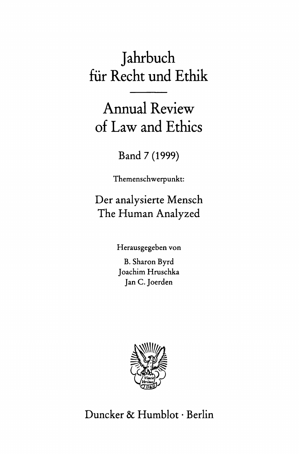# Jahrbuch für Recht und Ethik

Annual Review of Law and Ethics

Band 7 (1999)

Themenschwerpunkt:

Der analysierte Mensch The Human Analyzed

Herausgegeben von

B. Sharon Byrd Joachim Hruschka Jan C. Joerden



Duncker & Humblot · Berlin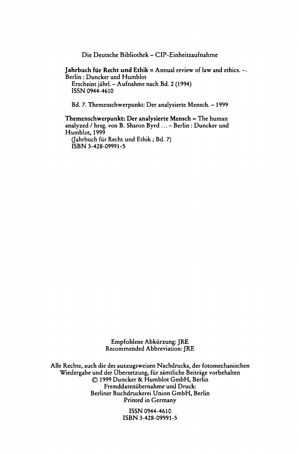**Die Deutsche Bibliothek - CIP-Einheitsaufnahme** 

#### **Jahrbuch für Recht und Ethik = Annual review of law and ethics. - , Berlin : Duncker und Humblot**

**Erscheint jährl. - Aufnahme nach Bd. 2 (1994) ISSN 0944-4610** 

**Bd. 7. Themenschwerpunkt: Der analysierte Mensch. - 1999** 

**Themenschwerpunkt: Der analysierte Mensch = The human analyzed / hrsg. von B. Sharon Byrd ... - Berlin : Duncker und Humblot, 1999** 

**(Jahrbuch für Recht und Ethik ; Bd. 7) ISBN 3-428-09991-5** 

> **Empfohlene Abkürzung: JRE Recommended Abbreviation: JRE**

**Alle Rechte, auch die des auszugsweisen Nachdrucks, der fotomechanischen Wiedergabe und der Übersetzung, für sämtliche Beiträge vorbehalten © 1999 Duncker & Humblot GmbH, Berlin Fremddatenübernahme und Druck: Berliner Buchdruckerei Union GmbH, Berlin Printed in Germany** 

> **ISSN 0944-4610 ISBN 3-428-09991-5**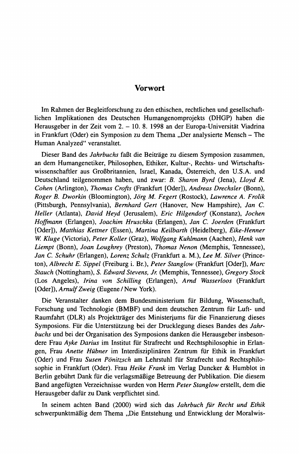#### **Vorwort**

Im Rahmen der Begleitforschung zu den ethischen, rechtlichen und gesellschaftlichen Implikationen des Deutschen Humangenomprojekts (DHGP) haben die Herausgeber in der Zeit vom 2. - 10. 8. 1998 an der Europa-Universität Viadrina in Frankfurt (Oder) ein Symposion zu dem Thema "Der analysierte Mensch - The Human Analyzed" veranstaltet.

Dieser Band des *Jahrbuchs* faßt die Beiträge zu diesem Symposion zusammen, an dem Humangenetiker, Philosophen, Ethiker, Kultur-, Rechts- und Wirtschaftswissenschaftler aus Großbritannien, Israel, Kanada, Österreich, den U.S.A. und Deutschland teilgenommen haben, und zwar: *B. Sharon Byrd* (Jena), *Lloyd R. Cohen* (Arlington), *Thomas Crofts* (Frankfurt [Oder]), *Andreas Drechsler* (Bonn), *Roger B. Dworkin* (Bloomington), *Jörg M. Fegert* (Rostock), *Lawrence A. Frolik*  (Pittsburgh, Pennsylvania), *Bernhard Gert* (Hanover, New Hampshire), *Jan C. Heller* (Atlanta), *David Heyd* (Jerusalem), *Eric Hilgendorf* (Konstanz), *Jochen Hoffmann* (Erlangen), *Joachim Hruschka* (Erlangen), *Jan* C. *Joerden* (Frankfurt [Oder]), *Matthias Kettner* (Essen), *Martina Keilbarth* (Heidelberg), *Eike-Henner W. Kluge* (Victoria), *Peter Koller* (Graz), *Wolf gang Kuhlmann* (Aachen), *Henk van Liempt* (Bonn), *Joan Loughrey* (Preston), *Thomas Nenon* (Memphis, Tennessee), *Jan* C. *Schuhr* (Erlangen), *Lorenz Schulz* (Frankfurt a. M.), *Lee M. Silver* (Princeton), *Albrecht E. Sippel* (Freiburg i. Br.), *Peter Stanglow* (Frankfurt [Oder]), *Marc Stauch* (Nottingham), *S. Edward Stevens, Jr.* (Memphis, Tennessee), *Gregory Stock*  (Los Angeles), *Irina von Schilling* (Erlangen), *Arnd Wasserloos* (Frankfurt [Oder]), *Arnulf Zweig* (Eugene/New York).

Die Veranstalter danken dem Bundesministerium für Bildung, Wissenschaft, Forschung und Technologie (BMBF) und dem deutschen Zentrum für Luft- und Raumfahrt (DLR) als Projektträger des Ministeriums für die Finanzierung dieses Symposions. Für die Unterstützung bei der Drucklegung dieses Bandes des *Jahrbuchs* und bei der Organisation des Symposions danken die Herausgeber insbesondere Frau *Ayke Darius* im Institut für Strafrecht und Rechtsphilosophie in Erlangen, Frau *Anette Hübner* im Interdisziplinären Zentrum für Ethik in Frankfurt (Oder) und Frau *Susen Pönitzsch* am Lehrstuhl für Strafrecht und Rechtsphilosophie in Frankfurt (Oder). Frau *Heike Frank* im Verlag Duncker & Humblot in Berlin gebührt Dank für die verlagsmäßige Betreuung der Publikation. Die diesem Band angefügten Verzeichnisse wurden von Herrn *Peter Stanglow* erstellt, dem die Herausgeber dafür zu Dank verpflichtet sind.

In seinem achten Band (2000) wird sich das *Jahrbuch für Recht und Ethik*  schwerpunktmäßig dem Thema "Die Entstehung und Entwicklung der Moralwis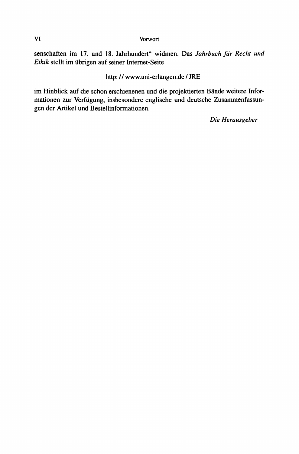**VI Vorwort** 

senschaften im 17. und 18. Jahrhundert" widmen. Das *Jahrbuch für Recht und Ethik* stellt im übrigen auf seiner Internet-Seite

http: // [www.uni-erlangen.de/JRE](http://www.uni-erlangen.de/JRE) 

im Hinblick auf die schon erschienenen und die projektierten Bände weitere Informationen zur Verfügung, insbesondere englische und deutsche Zusammenfassungen der Artikel und Bestellinformationen.

*Die Herausgeber*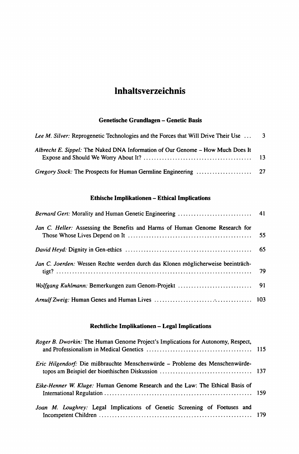### **Inhaltsverzeichnis**

### **Genetische Grundlagen - Genetic Basis**

| Lee M. Silver: Reprogenetic Technologies and the Forces that Will Drive Their Use  3 |  |
|--------------------------------------------------------------------------------------|--|
| Albrecht E. Sippel: The Naked DNA Information of Our Genome – How Much Does It       |  |
|                                                                                      |  |

#### **Ethische Implikationen - Ethical Implications**

| Jan C. Heller: Assessing the Benefits and Harms of Human Genome Research for     |  |
|----------------------------------------------------------------------------------|--|
|                                                                                  |  |
| Jan C. Joerden: Wessen Rechte werden durch das Klonen möglicherweise beeinträch- |  |
|                                                                                  |  |
|                                                                                  |  |

#### **Rechtliche Implikationen - Legal Implications**

| Roger B. Dworkin: The Human Genome Project's Implications for Autonomy, Respect, |  |
|----------------------------------------------------------------------------------|--|
| Eric Hilgendorf: Die mißbrauchte Menschenwürde – Probleme des Menschenwürde-     |  |
| Eike-Henner W. Kluge: Human Genome Research and the Law: The Ethical Basis of    |  |
| Joan M. Loughrey: Legal Implications of Genetic Screening of Foetuses and        |  |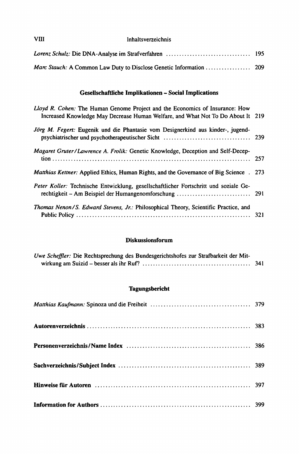| VIII | Inhaltsverzeichnis |
|------|--------------------|
|      |                    |

### **Gesellschaftliche Implikationen - Social Implications**

| Lloyd R. Cohen: The Human Genome Project and the Economics of Insurance: How<br>Increased Knowledge May Decrease Human Welfare, and What Not To Do About It 219 |  |
|-----------------------------------------------------------------------------------------------------------------------------------------------------------------|--|
| Jörg M. Fegert: Eugenik und die Phantasie vom Designerkind aus kinder-, jugend-                                                                                 |  |
| Magaret Gruter/Lawrence A. Frolik: Genetic Knowledge, Deception and Self-Decep-                                                                                 |  |
| <i>Matthias Kettner:</i> Applied Ethics, Human Rights, and the Governance of Big Science . 273                                                                  |  |
| Peter Koller: Technische Entwicklung, gesellschaftlicher Fortschritt und soziale Ge-                                                                            |  |
| Thomas Nenon/S. Edward Stevens, Jr.: Philosophical Theory, Scientific Practice, and                                                                             |  |

#### **Diskussionsforum**

| Uwe Scheffler: Die Rechtsprechung des Bundesgerichtshofes zur Strafbarkeit der Mit- |       |
|-------------------------------------------------------------------------------------|-------|
|                                                                                     | - 341 |

#### **Tagungsbericht**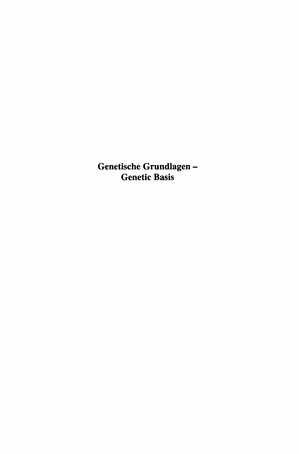**Genetische Grundlagen - Genetic Basis**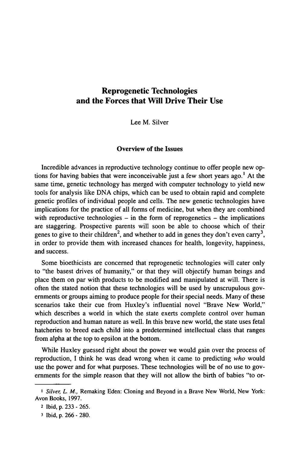### **Reprogenetic Technologies and the Forces that Will Drive Their Use**

Lee M. Silver

#### **Overview of the Issues**

Incredible advances in reproductive technology continue to offer people new options for having babies that were inconceivable just a few short years ago.<sup>1</sup> At the same time, genetic technology has merged with computer technology to yield new tools for analysis like DNA chips, which can be used to obtain rapid and complete genetic profiles of individual people and cells. The new genetic technologies have implications for the practice of all forms of medicine, but when they are combined with reproductive technologies  $-$  in the form of reprogenetics  $-$  the implications are staggering. Prospective parents will soon be able to choose which of their genes to give to their children<sup>2</sup>, and whether to add in genes they don't even carry<sup>3</sup>, in order to provide them with increased chances for health, longevity, happiness, and success.

Some bioethicists are concerned that reprogenetic technologies will cater only to "the basest drives of humanity," or that they will objectify human beings and place them on par with products to be modified and manipulated at will. There is often the stated notion that these technologies will be used by unscrupulous governments or groups aiming to produce people for their special needs. Many of these scenarios take their cue from Huxley's influential novel "Brave New World," which describes a world in which the state exerts complete control over human reproduction and human nature as well. In this brave new world, the state uses fetal hatcheries to breed each child into a predetermined intellectual class that ranges from alpha at the top to epsilon at the bottom.

While Huxley guessed right about the power we would gain over the process of reproduction, I think he was dead wrong when it came to predicting *who* would use the power and for what purposes. These technologies will be of no use to governments for the simple reason that they will not allow the birth of babies "to or-

*<sup>•</sup>* **Silver, L. M., Remaking Eden: Cloning and Beyond in a Brave New World, New York: Avon Rooks, 1997.** 

**<sup>2</sup> Ibid, p. 233 - 265.** 

**<sup>3</sup> Ibid, p. 266 - 280.**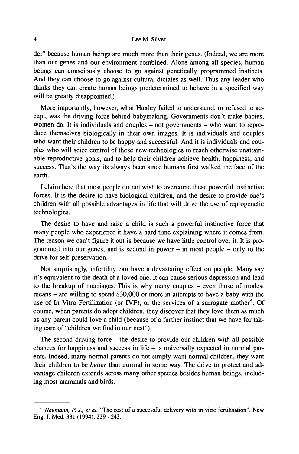#### **4 Lee M. Silver**

der" because human beings are much more than their genes. (Indeed, we are more than our genes and our environment combined. Alone among all species, human beings can consciously choose to go against genetically programmed instincts. And they can choose to go against cultural dictates as well. Thus any leader who thinks they can create human beings predetermined to behave in a specified way will be greatly disappointed.)

More importantly, however, what Huxley failed to understand, or refused to accept, was the driving force behind babymaking. Governments don't make babies, women do. It is individuals and couples  $-$  not governments  $-$  who want to reproduce themselves biologically in their own images. It is individuals and couples who want their children to be happy and successful. And it is individuals and couples who will seize control of these new technologies to reach otherwise unattainable reproductive goals, and to help their children achieve health, happiness, and success. That's the way its always been since humans first walked the face of the earth.

I claim here that most people do not wish to overcome these powerful instinctive forces. It is the desire to have biological children, and the desire to provide one's children with all possible advantages in life that will drive the use of reprogenetic technologies.

The desire to have and raise a child is such a powerful instinctive force that many people who experience it have a hard time explaining where it comes from. The reason we can't figure it out is because we have little control over it. It is programmed into our genes, and is second in power  $-$  in most people  $-$  only to the drive for self-preservation.

Not surprisingly, infertility can have a devastating effect on people. Many say it's equivalent to the death of a loved one. It can cause serious depression and lead to the breakup of marriages. This is why many couples – even those of modest means - are willing to spend \$30,000 or more in attempts to have a baby with the use of In Vitro Fertilization (or IVF), or the services of a surrogate mother<sup>4</sup>. Of course, when parents do adopt children, they discover that they love them as much as any parent could love a child (because of a further instinct that we have for taking care of "children we find in our nest").

The second driving force - the desire to provide our children with all possible chances for happiness and success in life  $-$  is universally expected in normal parents. Indeed, many normal parents do not simply want normal children, they want their children to be *better* than normal in some way. The drive to protect and advantage children extends across many other species besides human beings, including most mammals and birds.

*<sup>4</sup> Neumann, P. J., et al* **'The cost of a successful delivery with in vitro fertilisation", New Eng. J. Med. 331 (1994), 239 - 243.**